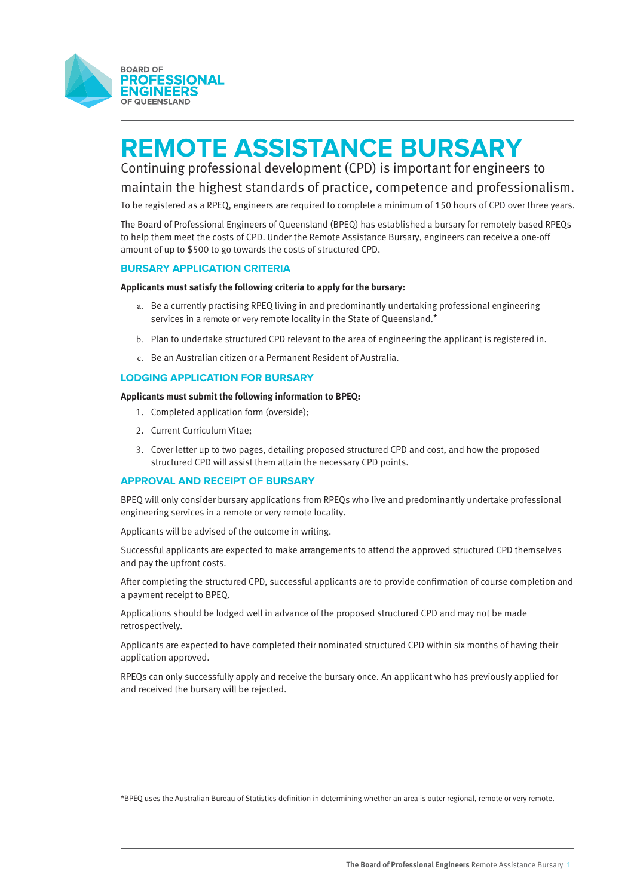

# **REMOTE ASSISTANCE BURSARY**

Continuing professional development (CPD) is important for engineers to maintain the highest standards of practice, competence and professionalism.

To be registered as a RPEQ, engineers are required to complete a minimum of 150 hours of CPD over three years.

The Board of Professional Engineers of Queensland (BPEQ) has established a bursary for remotely based RPEQs to help them meet the costs of CPD. Under the Remote Assistance Bursary, engineers can receive a one-off amount of up to \$500 to go towards the costs of structured CPD.

## **BURSARY APPLICATION CRITERIA**

## **Applicants must satisfy the following criteria to apply for the bursary:**

- a. Be a currently practising RPEQ living in and predominantly undertaking professional engineering services in a remote or very remote locality in the State of Queensland.\*
- b. Plan to undertake structured CPD relevant to the area of engineering the applicant is registered in.
- c. Be an Australian citizen or a Permanent Resident of Australia.

# **LODGING APPLICATION FOR BURSARY**

### **Applicants must submit the following information to BPEQ:**

- 1. Completed application form (overside);
- 2. Current Curriculum Vitae;
- 3. Cover letter up to two pages, detailing proposed structured CPD and cost, and how the proposed structured CPD will assist them attain the necessary CPD points.

### **APPROVAL AND RECEIPT OF BURSARY**

BPEQ will only consider bursary applications from RPEQs who live and predominantly undertake professional engineering services in a remote or very remote locality.

Applicants will be advised of the outcome in writing.

Successful applicants are expected to make arrangements to attend the approved structured CPD themselves and pay the upfront costs.

After completing the structured CPD, successful applicants are to provide confirmation of course completion and a payment receipt to BPEQ.

Applications should be lodged well in advance of the proposed structured CPD and may not be made retrospectively.

Applicants are expected to have completed their nominated structured CPD within six months of having their application approved.

RPEQs can only successfully apply and receive the bursary once. An applicant who has previously applied for and received the bursary will be rejected.

\*BPEQ uses the Australian Bureau of Statistics definition in determining whether an area is outer regional, remote or very remote.